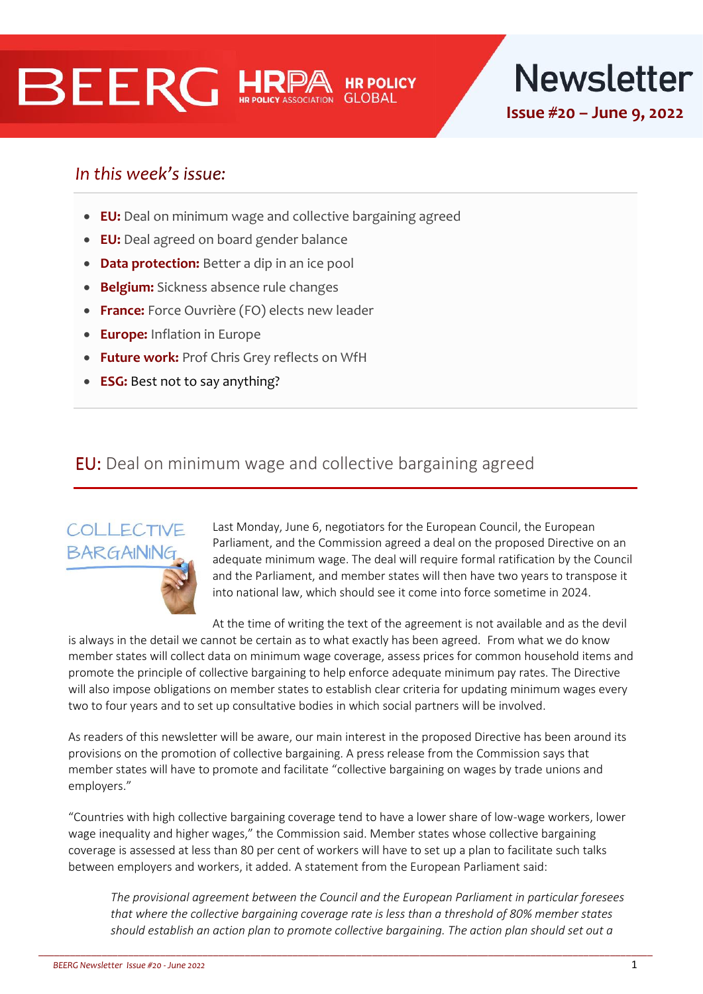# **BEERG HRE**

**Newsletter Issue #20 – June 9, 2022**

## In this week's issue:

- **EU:** Deal on minimum wage and collective bargaining agreed
- **EU:** Deal agreed on board gender balance
- **Data protection:** Better a dip in an ice pool
- **Belgium:** Sickness absence rule changes
- **France:** Force Ouvrière (FO) elects new leader
- **Europe:** Inflation in Europe
- **Future work:** Prof Chris Grey reflects on WfH
- **ESG:** Best not to say anything?

#### EU: Deal on minimum wage and collective bargaining agreed



Last Monday, June 6, negotiators for the European Council, the European Parliament, and the Commission agreed a deal on the proposed Directive on an adequate minimum wage. The deal will require formal ratification by the Council and the Parliament, and member states will then have two years to transpose it into national law, which should see it come into force sometime in 2024.

At the time of writing the text of the agreement is not available and as the devil is always in the detail we cannot be certain as to what exactly has been agreed. From what we do know member states will collect data on minimum wage coverage, assess prices for common household items and promote the principle of collective bargaining to help enforce adequate minimum pay rates. The Directive will also impose obligations on member states to establish clear criteria for updating minimum wages every two to four years and to set up consultative bodies in which social partners will be involved.

As readers of this newsletter will be aware, our main interest in the proposed Directive has been around its provisions on the promotion of collective bargaining. A press release from the Commission says that member states will have to promote and facilitate "collective bargaining on wages by trade unions and employers."

"Countries with high collective bargaining coverage tend to have a lower share of low-wage workers, lower wage inequality and higher wages," the Commission said. Member states whose collective bargaining coverage is assessed at less than 80 per cent of workers will have to set up a plan to facilitate such talks between employers and workers, it added. A statement from the European Parliament said:

\_\_\_\_\_\_\_\_\_\_\_\_\_\_\_\_\_\_\_\_\_\_\_\_\_\_\_\_\_\_\_\_\_\_\_\_\_\_\_\_\_\_\_\_\_\_\_\_\_\_\_\_\_\_\_\_\_\_\_\_\_\_\_\_\_\_\_\_\_\_\_\_\_\_\_\_\_\_\_\_\_\_\_\_\_\_\_\_\_\_\_\_\_\_\_\_\_\_\_\_\_\_\_\_\_\_\_\_\_\_\_\_\_\_\_\_

*The provisional agreement between the Council and the European Parliament in particular foresees that where the collective bargaining coverage rate is less than a threshold of 80% member states should establish an action plan to promote collective bargaining. The action plan should set out a*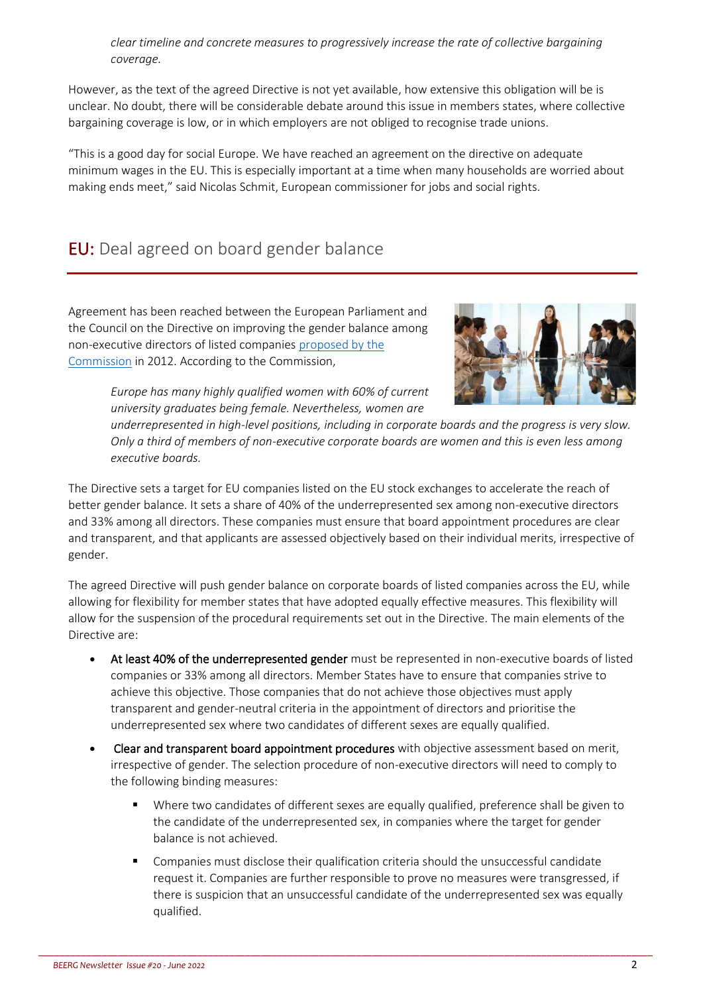*clear timeline and concrete measures to progressively increase the rate of collective bargaining coverage.*

However, as the text of the agreed Directive is not yet available, how extensive this obligation will be is unclear. No doubt, there will be considerable debate around this issue in members states, where collective bargaining coverage is low, or in which employers are not obliged to recognise trade unions.

"This is a good day for social Europe. We have reached an agreement on the directive on adequate minimum wages in the EU. This is especially important at a time when many households are worried about making ends meet," said Nicolas Schmit, European commissioner for jobs and social rights.

#### EU: Deal agreed on board gender balance

Agreement has been reached between the European Parliament and the Council on the Directive on improving the gender balance among non-executive directors of listed companies [proposed by the](https://eur-lex.europa.eu/legal-content/EN/TXT/PDF/?uri=CELEX:52012PC0614&from=EN)  [Commission](https://eur-lex.europa.eu/legal-content/EN/TXT/PDF/?uri=CELEX:52012PC0614&from=EN) in 2012. According to the Commission,



*Europe has many highly qualified women with 60% of current university graduates being female. Nevertheless, women are* 

*underrepresented in high-level positions, including in corporate boards and the progress is very slow. Only a third of members of non-executive corporate boards are women and this is even less among executive boards.* 

The Directive sets a target for EU companies listed on the EU stock exchanges to accelerate the reach of better gender balance. It sets a share of 40% of the underrepresented sex among non-executive directors and 33% among all directors. These companies must ensure that board appointment procedures are clear and transparent, and that applicants are assessed objectively based on their individual merits, irrespective of gender.

The agreed Directive will push gender balance on corporate boards of listed companies across the EU, while allowing for flexibility for member states that have adopted equally effective measures. This flexibility will allow for the suspension of the procedural requirements set out in the Directive. The main elements of the Directive are:

- At least 40% of the underrepresented gender must be represented in non-executive boards of listed companies or 33% among all directors. Member States have to ensure that companies strive to achieve this objective. Those companies that do not achieve those objectives must apply transparent and gender-neutral criteria in the appointment of directors and prioritise the underrepresented sex where two candidates of different sexes are equally qualified.
- Clear and transparent board appointment procedures with objective assessment based on merit, irrespective of gender. The selection procedure of non-executive directors will need to comply to the following binding measures:
	- Where two candidates of different sexes are equally qualified, preference shall be given to the candidate of the underrepresented sex, in companies where the target for gender balance is not achieved.
	- Companies must disclose their qualification criteria should the unsuccessful candidate request it. Companies are further responsible to prove no measures were transgressed, if there is suspicion that an unsuccessful candidate of the underrepresented sex was equally qualified.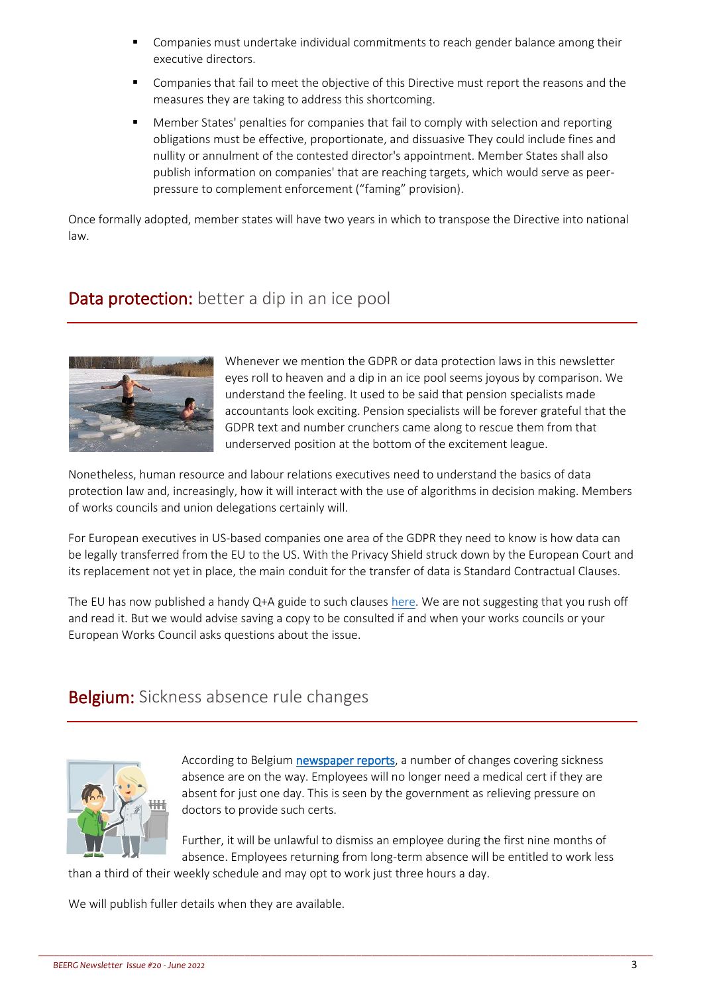- Companies must undertake individual commitments to reach gender balance among their executive directors.
- Companies that fail to meet the objective of this Directive must report the reasons and the measures they are taking to address this shortcoming.
- Member States' penalties for companies that fail to comply with selection and reporting obligations must be effective, proportionate, and dissuasive They could include fines and nullity or annulment of the contested director's appointment. Member States shall also publish information on companies' that are reaching targets, which would serve as peerpressure to complement enforcement ("faming" provision).

Once formally adopted, member states will have two years in which to transpose the Directive into national law.

#### Data protection: better a dip in an ice pool



Whenever we mention the GDPR or data protection laws in this newsletter eyes roll to heaven and a dip in an ice pool seems joyous by comparison. We understand the feeling. It used to be said that pension specialists made accountants look exciting. Pension specialists will be forever grateful that the GDPR text and number crunchers came along to rescue them from that underserved position at the bottom of the excitement league.

Nonetheless, human resource and labour relations executives need to understand the basics of data protection law and, increasingly, how it will interact with the use of algorithms in decision making. Members of works councils and union delegations certainly will.

For European executives in US-based companies one area of the GDPR they need to know is how data can be legally transferred from the EU to the US. With the Privacy Shield struck down by the European Court and its replacement not yet in place, the main conduit for the transfer of data is Standard Contractual Clauses.

The EU has now published a handy Q+A guide to such clauses [here.](https://ec.europa.eu/info/sites/default/files/questions_answers_on_sccs_en.pdf) We are not suggesting that you rush off and read it. But we would advise saving a copy to be consulted if and when your works councils or your European Works Council asks questions about the issue.

\_\_\_\_\_\_\_\_\_\_\_\_\_\_\_\_\_\_\_\_\_\_\_\_\_\_\_\_\_\_\_\_\_\_\_\_\_\_\_\_\_\_\_\_\_\_\_\_\_\_\_\_\_\_\_\_\_\_\_\_\_\_\_\_\_\_\_\_\_\_\_\_\_\_\_\_\_\_\_\_\_\_\_\_\_\_\_\_\_\_\_\_\_\_\_\_\_\_\_\_\_\_\_\_\_\_\_\_\_\_\_\_\_\_\_\_

#### Belgium: Sickness absence rule changes



According to Belgiu[m newspaper reports,](https://www.lesoir.be/446361/article/2022-06-03/il-ne-faudra-plus-de-certificat-medical-pour-un-jour-dabsence) a number of changes covering sickness absence are on the way. Employees will no longer need a medical cert if they are absent for just one day. This is seen by the government as relieving pressure on doctors to provide such certs.

Further, it will be unlawful to dismiss an employee during the first nine months of absence. Employees returning from long-term absence will be entitled to work less than a third of their weekly schedule and may opt to work just three hours a day.

We will publish fuller details when they are available.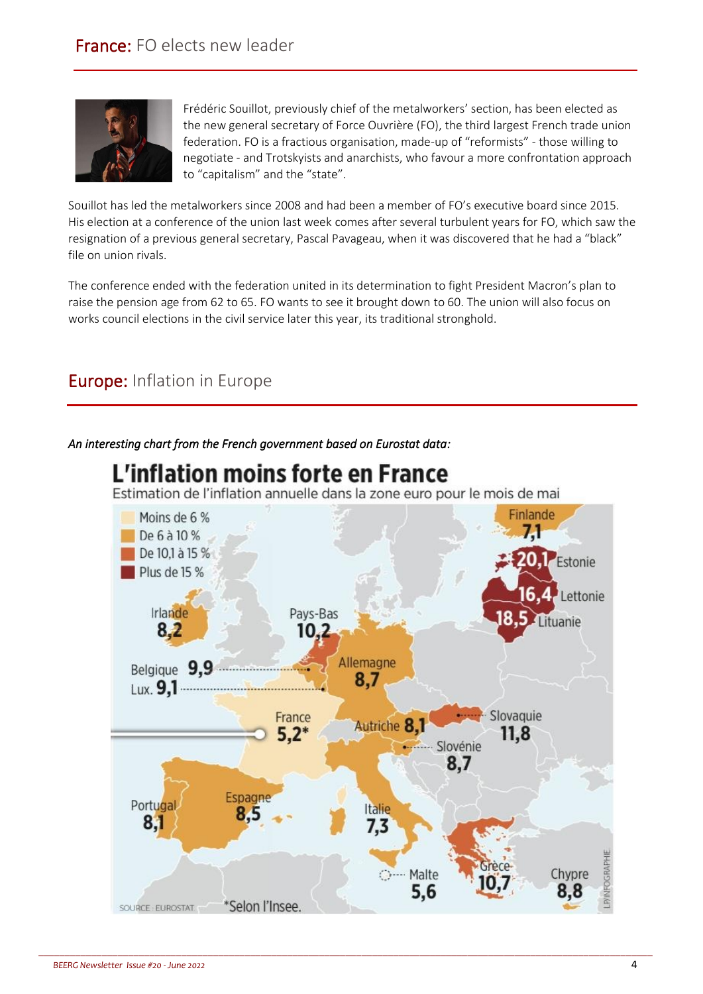

Frédéric Souillot, previously chief of the metalworkers' section, has been elected as the new general secretary of Force Ouvrière (FO), the third largest French trade union federation. FO is a fractious organisation, made-up of "reformists" - those willing to negotiate - and Trotskyists and anarchists, who favour a more confrontation approach to "capitalism" and the "state".

Souillot has led the metalworkers since 2008 and had been a member of FO's executive board since 2015. His election at a conference of the union last week comes after several turbulent years for FO, which saw the resignation of a previous general secretary, Pascal Pavageau, when it was discovered that he had a "black" file on union rivals.

The conference ended with the federation united in its determination to fight President Macron's plan to raise the pension age from 62 to 65. FO wants to see it brought down to 60. The union will also focus on works council elections in the civil service later this year, its traditional stronghold.

### Europe: Inflation in Europe

*An interesting chart from the French government based on Eurostat data:* 



\_\_\_\_\_\_\_\_\_\_\_\_\_\_\_\_\_\_\_\_\_\_\_\_\_\_\_\_\_\_\_\_\_\_\_\_\_\_\_\_\_\_\_\_\_\_\_\_\_\_\_\_\_\_\_\_\_\_\_\_\_\_\_\_\_\_\_\_\_\_\_\_\_\_\_\_\_\_\_\_\_\_\_\_\_\_\_\_\_\_\_\_\_\_\_\_\_\_\_\_\_\_\_\_\_\_\_\_\_\_\_\_\_\_\_\_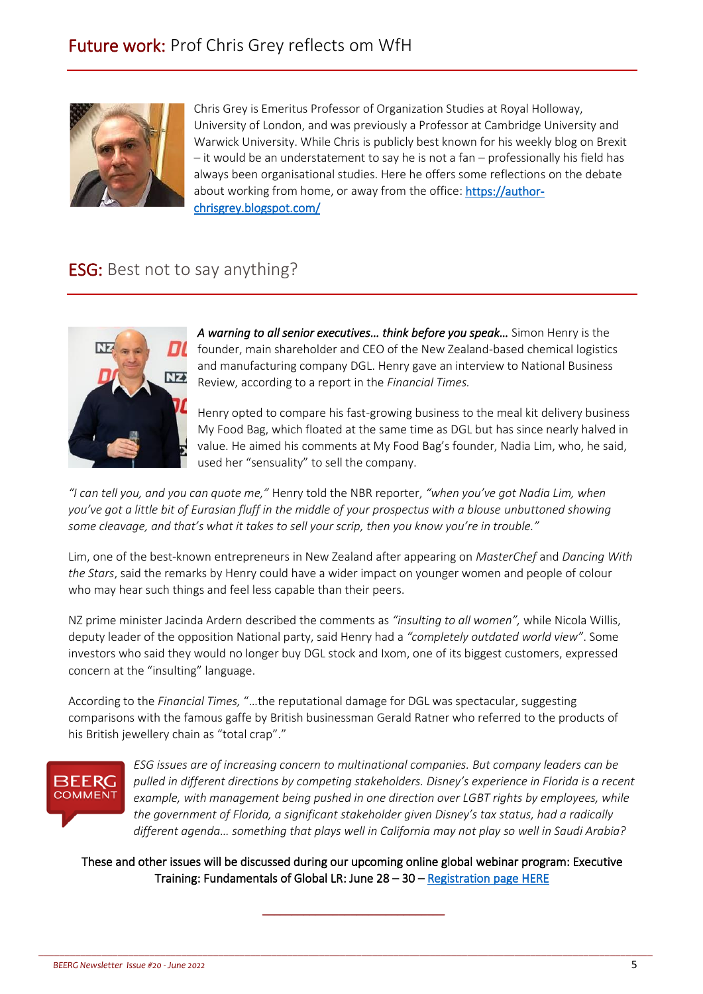

Chris Grey is Emeritus Professor of Organization Studies at Royal Holloway, University of London, and was previously a Professor at Cambridge University and Warwick University. While Chris is publicly best known for his weekly blog on Brexit – it would be an understatement to say he is not a fan – professionally his field has always been organisational studies. Here he offers some reflections on the debate about working from home, or away from the office: [https://author](https://author-chrisgrey.blogspot.com/)[chrisgrey.blogspot.com/](https://author-chrisgrey.blogspot.com/)

#### ESG: Best not to say anything?



*A warning to all senior executives… think before you speak…* Simon Henry is the founder, main shareholder and CEO of the New Zealand-based chemical logistics and manufacturing company DGL. Henry gave an interview to National Business Review, according to a report in the *Financial Times.*

Henry opted to compare his fast-growing business to the meal kit delivery business My Food Bag, which floated at the same time as DGL but has since nearly halved in value. He aimed his comments at My Food Bag's founder, Nadia Lim, who, he said, used her "sensuality" to sell the company.

*"I can tell you, and you can quote me,"* Henry told the NBR reporter, *"when you've got Nadia Lim, when you've got a little bit of Eurasian fluff in the middle of your prospectus with a blouse unbuttoned showing some cleavage, and that's what it takes to sell your scrip, then you know you're in trouble."*

Lim, one of the best-known entrepreneurs in New Zealand after appearing on *MasterChef* and *Dancing With the Stars*, said the remarks by Henry could have a wider impact on younger women and people of colour who may hear such things and feel less capable than their peers.

NZ prime minister Jacinda Ardern described the comments as *"insulting to all women",* while Nicola Willis, deputy leader of the opposition National party, said Henry had a *"completely outdated world view"*. Some investors who said they would no longer buy DGL stock and Ixom, one of its biggest customers, expressed concern at the "insulting" language.

According to the *Financial Times,* "…the reputational damage for DGL was spectacular, suggesting comparisons with the famous gaffe by British businessman Gerald Ratner who referred to the products of his British jewellery chain as "total crap"."

## 3EERG **COMMENT**

*ESG issues are of increasing concern to multinational companies. But company leaders can be pulled in different directions by competing stakeholders. Disney's experience in Florida is a recent example, with management being pushed in one direction over LGBT rights by employees, while the government of Florida, a significant stakeholder given Disney's tax status, had a radically different agenda… something that plays well in California may not play so well in Saudi Arabia?* 

These and other issues will be discussed during our upcoming online global webinar program: Executive Training: Fundamentals of Global LR: June 28 – 30 – [Registration page HERE](https://hrpolicy.force.com/ltememberportal/s/lt-event?id=a1Y1U000004bt05UAA)

\_\_\_\_\_\_\_\_\_\_\_\_\_\_\_\_\_\_\_\_\_\_\_\_\_\_\_\_\_\_\_

\_\_\_\_\_\_\_\_\_\_\_\_\_\_\_\_\_\_\_\_\_\_\_\_\_\_\_\_\_\_\_\_\_\_\_\_\_\_\_\_\_\_\_\_\_\_\_\_\_\_\_\_\_\_\_\_\_\_\_\_\_\_\_\_\_\_\_\_\_\_\_\_\_\_\_\_\_\_\_\_\_\_\_\_\_\_\_\_\_\_\_\_\_\_\_\_\_\_\_\_\_\_\_\_\_\_\_\_\_\_\_\_\_\_\_\_